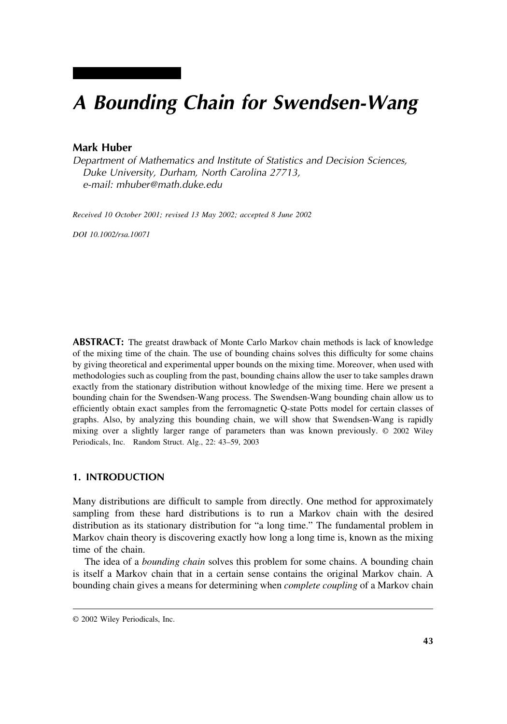# *A Bounding Chain for Swendsen-Wang*

## **Mark Huber**

*Department of Mathematics and Institute of Statistics and Decision Sciences, Duke University, Durham, North Carolina 27713, e-mail: mhuber@math.duke.edu*

*Received 10 October 2001; revised 13 May 2002; accepted 8 June 2002*

*DOI 10.1002/rsa.10071*

**ABSTRACT:** The greatst drawback of Monte Carlo Markov chain methods is lack of knowledge of the mixing time of the chain. The use of bounding chains solves this difficulty for some chains by giving theoretical and experimental upper bounds on the mixing time. Moreover, when used with methodologies such as coupling from the past, bounding chains allow the user to take samples drawn exactly from the stationary distribution without knowledge of the mixing time. Here we present a bounding chain for the Swendsen-Wang process. The Swendsen-Wang bounding chain allow us to efficiently obtain exact samples from the ferromagnetic Q-state Potts model for certain classes of graphs. Also, by analyzing this bounding chain, we will show that Swendsen-Wang is rapidly mixing over a slightly larger range of parameters than was known previously. © 2002 Wiley Periodicals, Inc. Random Struct. Alg., 22: 43–59, 2003

#### **1. INTRODUCTION**

Many distributions are difficult to sample from directly. One method for approximately sampling from these hard distributions is to run a Markov chain with the desired distribution as its stationary distribution for "a long time." The fundamental problem in Markov chain theory is discovering exactly how long a long time is, known as the mixing time of the chain.

The idea of a *bounding chain* solves this problem for some chains. A bounding chain is itself a Markov chain that in a certain sense contains the original Markov chain. A bounding chain gives a means for determining when *complete coupling* of a Markov chain

<sup>© 2002</sup> Wiley Periodicals, Inc.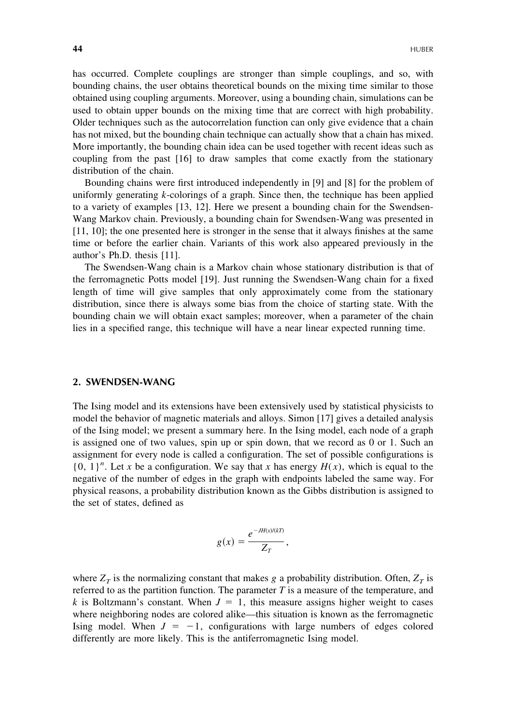has occurred. Complete couplings are stronger than simple couplings, and so, with bounding chains, the user obtains theoretical bounds on the mixing time similar to those obtained using coupling arguments. Moreover, using a bounding chain, simulations can be used to obtain upper bounds on the mixing time that are correct with high probability. Older techniques such as the autocorrelation function can only give evidence that a chain has not mixed, but the bounding chain technique can actually show that a chain has mixed. More importantly, the bounding chain idea can be used together with recent ideas such as coupling from the past [16] to draw samples that come exactly from the stationary distribution of the chain.

Bounding chains were first introduced independently in [9] and [8] for the problem of uniformly generating *k*-colorings of a graph. Since then, the technique has been applied to a variety of examples [13, 12]. Here we present a bounding chain for the Swendsen-Wang Markov chain. Previously, a bounding chain for Swendsen-Wang was presented in [11, 10]; the one presented here is stronger in the sense that it always finishes at the same time or before the earlier chain. Variants of this work also appeared previously in the author's Ph.D. thesis [11].

The Swendsen-Wang chain is a Markov chain whose stationary distribution is that of the ferromagnetic Potts model [19]. Just running the Swendsen-Wang chain for a fixed length of time will give samples that only approximately come from the stationary distribution, since there is always some bias from the choice of starting state. With the bounding chain we will obtain exact samples; moreover, when a parameter of the chain lies in a specified range, this technique will have a near linear expected running time.

#### **2. SWENDSEN-WANG**

The Ising model and its extensions have been extensively used by statistical physicists to model the behavior of magnetic materials and alloys. Simon [17] gives a detailed analysis of the Ising model; we present a summary here. In the Ising model, each node of a graph is assigned one of two values, spin up or spin down, that we record as 0 or 1. Such an assignment for every node is called a configuration. The set of possible configurations is  ${0, 1}^n$ . Let *x* be a configuration. We say that *x* has energy  $H(x)$ , which is equal to the negative of the number of edges in the graph with endpoints labeled the same way. For physical reasons, a probability distribution known as the Gibbs distribution is assigned to the set of states, defined as

$$
g(x) = \frac{e^{-JH(x)/(kT)}}{Z_T},
$$

where  $Z_T$  is the normalizing constant that makes *g* a probability distribution. Often,  $Z_T$  is referred to as the partition function. The parameter *T* is a measure of the temperature, and *k* is Boltzmann's constant. When  $J = 1$ , this measure assigns higher weight to cases where neighboring nodes are colored alike—this situation is known as the ferromagnetic Ising model. When  $J = -1$ , configurations with large numbers of edges colored differently are more likely. This is the antiferromagnetic Ising model.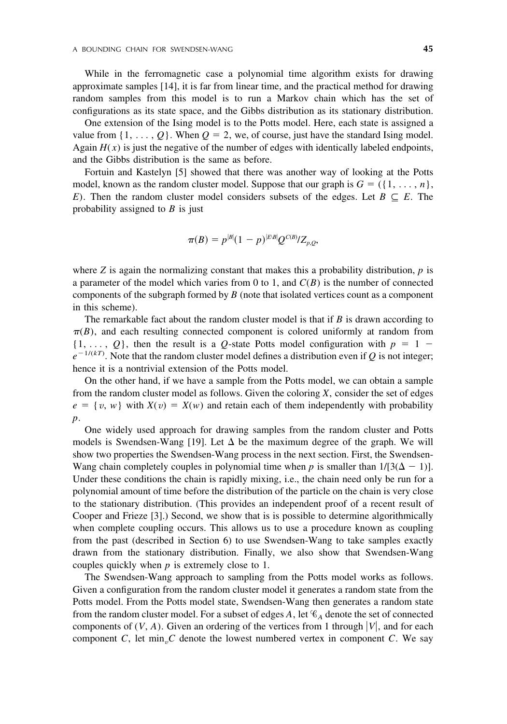While in the ferromagnetic case a polynomial time algorithm exists for drawing approximate samples [14], it is far from linear time, and the practical method for drawing random samples from this model is to run a Markov chain which has the set of configurations as its state space, and the Gibbs distribution as its stationary distribution.

One extension of the Ising model is to the Potts model. Here, each state is assigned a value from  $\{1, \ldots, Q\}$ . When  $Q = 2$ , we, of course, just have the standard Ising model. Again  $H(x)$  is just the negative of the number of edges with identically labeled endpoints, and the Gibbs distribution is the same as before.

Fortuin and Kastelyn [5] showed that there was another way of looking at the Potts model, known as the random cluster model. Suppose that our graph is  $G = (\{1, \ldots, n\})$ , *E*). Then the random cluster model considers subsets of the edges. Let  $B \subseteq E$ . The probability assigned to *B* is just

$$
\pi(B) = p^{|B|}(1-p)^{|E:B|}Q^{C(B)}/Z_{p,Q},
$$

where  $Z$  is again the normalizing constant that makes this a probability distribution,  $p$  is a parameter of the model which varies from 0 to 1, and *C*(*B*) is the number of connected components of the subgraph formed by *B* (note that isolated vertices count as a component in this scheme).

The remarkable fact about the random cluster model is that if *B* is drawn according to  $\pi(B)$ , and each resulting connected component is colored uniformly at random from  $\{1, \ldots, Q\}$ , then the result is a *Q*-state Potts model configuration with  $p = 1$  $e^{-1/(kT)}$ . Note that the random cluster model defines a distribution even if *Q* is not integer; hence it is a nontrivial extension of the Potts model.

On the other hand, if we have a sample from the Potts model, we can obtain a sample from the random cluster model as follows. Given the coloring *X*, consider the set of edges  $e = \{v, w\}$  with  $X(v) = X(w)$  and retain each of them independently with probability *p*.

One widely used approach for drawing samples from the random cluster and Potts models is Swendsen-Wang [19]. Let  $\Delta$  be the maximum degree of the graph. We will show two properties the Swendsen-Wang process in the next section. First, the Swendsen-Wang chain completely couples in polynomial time when *p* is smaller than  $1/[3(\Delta - 1)]$ . Under these conditions the chain is rapidly mixing, i.e., the chain need only be run for a polynomial amount of time before the distribution of the particle on the chain is very close to the stationary distribution. (This provides an independent proof of a recent result of Cooper and Frieze [3].) Second, we show that is is possible to determine algorithmically when complete coupling occurs. This allows us to use a procedure known as coupling from the past (described in Section 6) to use Swendsen-Wang to take samples exactly drawn from the stationary distribution. Finally, we also show that Swendsen-Wang couples quickly when *p* is extremely close to 1.

The Swendsen-Wang approach to sampling from the Potts model works as follows. Given a configuration from the random cluster model it generates a random state from the Potts model. From the Potts model state, Swendsen-Wang then generates a random state from the random cluster model. For a subset of edges A, let  $\mathcal{C}_A$  denote the set of connected components of  $(V, A)$ . Given an ordering of the vertices from 1 through  $|V|$ , and for each component *C*, let min<sub>n</sub> $C$ </sub> denote the lowest numbered vertex in component  $C$ . We say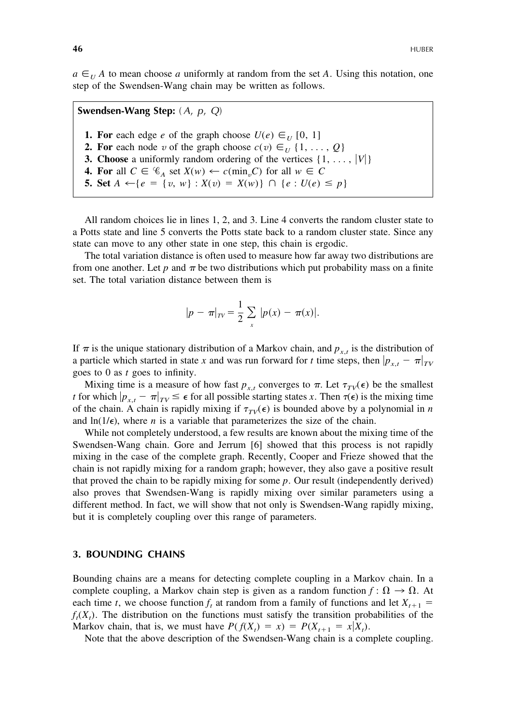$a \in U$  *A* to mean choose *a* uniformly at random from the set *A*. Using this notation, one step of the Swendsen-Wang chain may be written as follows.

**Swendsen-Wang Step:** ( *A*, *p*, *Q*) **1. For** each edge *e* of the graph choose  $U(e) \in U[0, 1]$ **2. For** each node *v* of the graph choose  $c(v) \in U \{1, \ldots, Q\}$ **3. Choose** a uniformly random ordering of the vertices  $\{1, \ldots, |V|\}$ **4. For** all  $C \in \mathcal{C}_A$  set  $X(w) \leftarrow c(\min_v C)$  for all  $w \in C$ **5. Set**  $A \leftarrow \{e = \{v, w\} : X(v) = X(w)\} \cap \{e : U(e) \leq p\}$ 

All random choices lie in lines 1, 2, and 3. Line 4 converts the random cluster state to a Potts state and line 5 converts the Potts state back to a random cluster state. Since any state can move to any other state in one step, this chain is ergodic.

The total variation distance is often used to measure how far away two distributions are from one another. Let  $p$  and  $\pi$  be two distributions which put probability mass on a finite set. The total variation distance between them is

$$
|p - \pi|_{TV} = \frac{1}{2} \sum_{x} |p(x) - \pi(x)|.
$$

If  $\pi$  is the unique stationary distribution of a Markov chain, and  $p_{x,t}$  is the distribution of a particle which started in state *x* and was run forward for *t* time steps, then  $|p_{x,t} - \pi|_{TV}$ goes to 0 as *t* goes to infinity.

Mixing time is a measure of how fast  $p_{x,t}$  converges to  $\pi$ . Let  $\tau_{TV}(\epsilon)$  be the smallest *t* for which  $|p_{x,t} - \pi|_{TV} \leq \epsilon$  for all possible starting states *x*. Then  $\tau(\epsilon)$  is the mixing time of the chain. A chain is rapidly mixing if  $\tau_{TV}(\epsilon)$  is bounded above by a polynomial in *n* and  $\ln(1/\epsilon)$ , where *n* is a variable that parameterizes the size of the chain.

While not completely understood, a few results are known about the mixing time of the Swendsen-Wang chain. Gore and Jerrum [6] showed that this process is not rapidly mixing in the case of the complete graph. Recently, Cooper and Frieze showed that the chain is not rapidly mixing for a random graph; however, they also gave a positive result that proved the chain to be rapidly mixing for some *p*. Our result (independently derived) also proves that Swendsen-Wang is rapidly mixing over similar parameters using a different method. In fact, we will show that not only is Swendsen-Wang rapidly mixing, but it is completely coupling over this range of parameters.

#### **3. BOUNDING CHAINS**

Bounding chains are a means for detecting complete coupling in a Markov chain. In a complete coupling, a Markov chain step is given as a random function  $f : \Omega \to \Omega$ . At each time *t*, we choose function  $f_t$  at random from a family of functions and let  $X_{t+1}$  $f_t(X_t)$ . The distribution on the functions must satisfy the transition probabilities of the Markov chain, that is, we must have  $P(f(X_t) = x) = P(X_{t+1} = x | X_t)$ .

Note that the above description of the Swendsen-Wang chain is a complete coupling.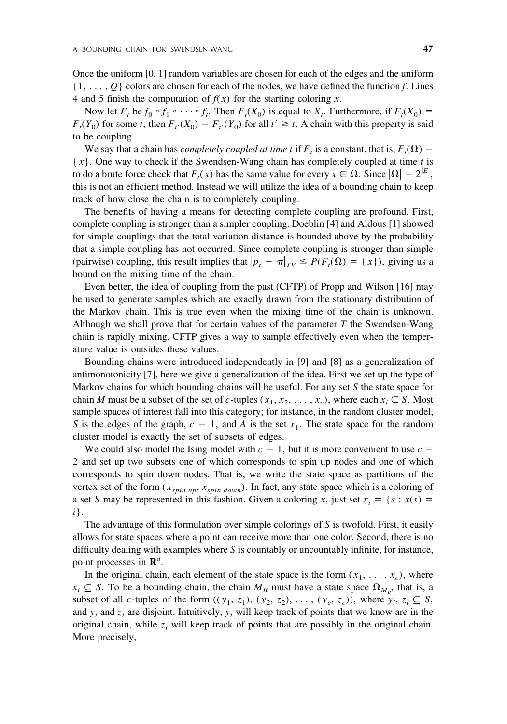Once the uniform [0, 1] random variables are chosen for each of the edges and the uniform {1, . . . , *Q*} colors are chosen for each of the nodes, we have defined the function *f*. Lines 4 and 5 finish the computation of  $f(x)$  for the starting coloring *x*.

Now let  $F_t$  be  $f_0 \circ f_1 \circ \cdots \circ f_t$ . Then  $F_t(X_0)$  is equal to  $X_t$ . Furthermore, if  $F_t(X_0) =$  $F_t(Y_0)$  for some *t*, then  $F_{t}(X_0) = F_{t}(Y_0)$  for all  $t' \ge t$ . A chain with this property is said to be coupling.

We say that a chain has *completely coupled at time t* if  $F_t$  is a constant, that is,  $F_t(\Omega) =$ { *x*}. One way to check if the Swendsen-Wang chain has completely coupled at time *t* is to do a brute force check that  $F_t(x)$  has the same value for every  $x \in \Omega$ . Since  $|\Omega| = 2^{|E|}$ , this is not an efficient method. Instead we will utilize the idea of a bounding chain to keep track of how close the chain is to completely coupling.

The benefits of having a means for detecting complete coupling are profound. First, complete coupling is stronger than a simpler coupling. Doeblin [4] and Aldous [1] showed for simple couplings that the total variation distance is bounded above by the probability that a simple coupling has not occurred. Since complete coupling is stronger than simple (pairwise) coupling, this result implies that  $|p_t - \pi|_{TV} \le P(F_t(\Omega)) = \{x\}$ , giving us a bound on the mixing time of the chain.

Even better, the idea of coupling from the past (CFTP) of Propp and Wilson [16] may be used to generate samples which are exactly drawn from the stationary distribution of the Markov chain. This is true even when the mixing time of the chain is unknown. Although we shall prove that for certain values of the parameter *T* the Swendsen-Wang chain is rapidly mixing, CFTP gives a way to sample effectively even when the temperature value is outsides these values.

Bounding chains were introduced independently in [9] and [8] as a generalization of antimonotonicity [7], here we give a generalization of the idea. First we set up the type of Markov chains for which bounding chains will be useful. For any set *S* the state space for chain *M* must be a subset of the set of *c*-tuples  $(x_1, x_2, \ldots, x_c)$ , where each  $x_i \subseteq S$ . Most sample spaces of interest fall into this category; for instance, in the random cluster model, *S* is the edges of the graph,  $c = 1$ , and *A* is the set  $x_1$ . The state space for the random cluster model is exactly the set of subsets of edges.

We could also model the Ising model with  $c = 1$ , but it is more convenient to use  $c =$ 2 and set up two subsets one of which corresponds to spin up nodes and one of which corresponds to spin down nodes. That is, we write the state space as partitions of the vertex set of the form  $(x_{spin \ up}, x_{spin \ down})$ . In fact, any state space which is a coloring of a set *S* may be represented in this fashion. Given a coloring *x*, just set  $x_i = \{s : x(s) = x\}$ *i*}.

The advantage of this formulation over simple colorings of *S* is twofold. First, it easily allows for state spaces where a point can receive more than one color. Second, there is no difficulty dealing with examples where *S* is countably or uncountably infinite, for instance, point processes in **R***<sup>d</sup>* .

In the original chain, each element of the state space is the form  $(x_1, \ldots, x_c)$ , where  $x_i \subseteq S$ . To be a bounding chain, the chain  $M_B$  must have a state space  $\Omega_{M_B}$ , that is, a subset of all *c*-tuples of the form  $((y_1, z_1), (y_2, z_2), \ldots, (y_c, z_c))$ , where  $y_i, z_i \subseteq S$ , and  $y_i$  and  $z_i$  are disjoint. Intuitively,  $y_i$  will keep track of points that we know are in the original chain, while  $z_i$  will keep track of points that are possibly in the original chain. More precisely,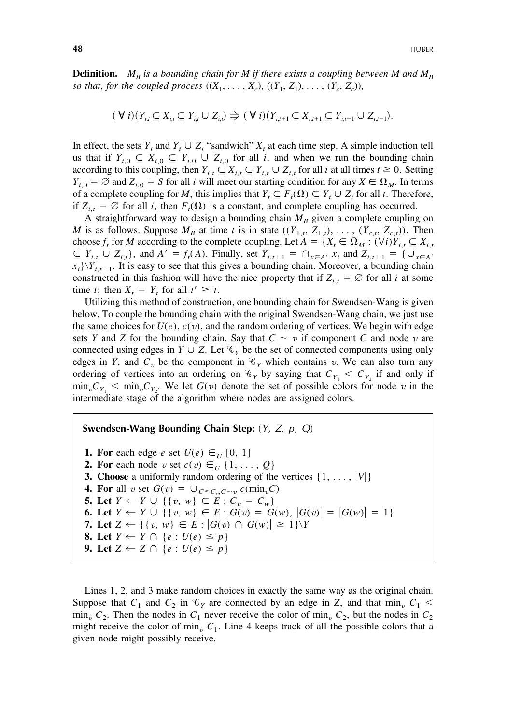**Definition.**  $M_B$  *is a bounding chain for M if there exists a coupling between M and*  $M_B$ *so that, for the coupled process*  $((X_1, ..., X_c), ((Y_1, Z_1), ..., (Y_c, Z_c)),$ 

$$
(\forall i)(Y_{i,t} \subseteq X_{i,t} \subseteq Y_{i,t} \cup Z_{i,t}) \Rightarrow (\forall i)(Y_{i,t+1} \subseteq X_{i,t+1} \subseteq Y_{i,t+1} \cup Z_{i,t+1}).
$$

In effect, the sets  $Y_i$  and  $Y_i \cup Z_i$  "sandwich"  $X_i$  at each time step. A simple induction tell us that if  $Y_{i,0} \subseteq X_{i,0} \subseteq Y_{i,0} \cup Z_{i,0}$  for all *i*, and when we run the bounding chain according to this coupling, then  $Y_{i,t} \subseteq X_{i,t} \subseteq Y_{i,t} \cup Z_{i,t}$  for all *i* at all times  $t \ge 0$ . Setting  $Y_{i,0} = \emptyset$  and  $Z_{i,0} = S$  for all *i* will meet our starting condition for any  $X \in \Omega_M$ . In terms of a complete coupling for *M*, this implies that  $Y_t \subseteq F_t(\Omega) \subseteq Y_t \cup Z_t$  for all *t*. Therefore, if  $Z_{i,t} = \emptyset$  for all *i*, then  $F_t(\Omega)$  is a constant, and complete coupling has occurred.

A straightforward way to design a bounding chain  $M_B$  given a complete coupling on *M* is as follows. Suppose  $M_B$  at time *t* is in state  $((Y_{1,t}, Z_{1,t}), \ldots, (Y_{c,t}, Z_{c,t}))$ . Then choose  $f_t$  for *M* according to the complete coupling. Let  $A = \{X_t \in \Omega_M : (\forall i)Y_{i,t} \subseteq X_{i,t}\}$  $\subseteq$   $Y_{i,t}$   $\cup$   $Z_{i,t}$ , and  $A' = f_t(A)$ . Finally, set  $Y_{i,t+1} = \bigcap_{x \in A'} x_i$  and  $Z_{i,t+1} = \{ \bigcup_{x \in A'} x_i \mid t \in A' \}$  $x_i$ )  $Y_{i,t+1}$ . It is easy to see that this gives a bounding chain. Moreover, a bounding chain constructed in this fashion will have the nice property that if  $Z_{i,t} = \emptyset$  for all *i* at some time *t*; then  $X_t = Y_t$  for all  $t' \geq t$ .

Utilizing this method of construction, one bounding chain for Swendsen-Wang is given below. To couple the bounding chain with the original Swendsen-Wang chain, we just use the same choices for  $U(e)$ ,  $c(v)$ , and the random ordering of vertices. We begin with edge sets *Y* and *Z* for the bounding chain. Say that  $C \sim v$  if component *C* and node *v* are connected using edges in  $Y \cup Z$ . Let  $\mathcal{C}_Y$  be the set of connected components using only edges in *Y*, and *C<sub>v</sub>* be the component in  $\mathcal{C}_Y$  which contains *v*. We can also turn any ordering of vertices into an ordering on  $\mathcal{C}_Y$  by saying that  $C_{Y_1} < C_{Y_2}$  if and only if  $\min_{v} C_{Y_1}$  
ightarrow We let  $G(v)$  denote the set of possible colors for node *v* in the intermediate stage of the algorithm where nodes are assigned colors.

**Swendsen-Wang Bounding Chain Step:** (*Y*, *Z*, *p*, *Q*) **1. For** each edge *e* set  $U(e) \in U[0, 1]$ **2. For** each node *v* set  $c(v) \in U \{1, \ldots, Q\}$ **3. Choose** a uniformly random ordering of the vertices  $\{1, \ldots, |V|\}$ **4. For** all *v* set  $G(v) = \bigcup_{C \leq C_v, C \sim v} c(\min_v C)$ **5.** Let  $Y \leftarrow Y \cup \{ \{ v, w \} \in E : C_v = C_w \}$ **6.** Let  $Y \leftarrow Y \cup \{ \{ v, w \} \in E : G(v) = G(w), |G(v)| = |G(w)| = 1 \}$ **7.** Let  $Z \leftarrow \{ \{ v, w \} \in E : |G(v) \cap G(w)| \geq 1 \} \backslash Y$ **8.** Let  $Y \leftarrow Y \cap \{e : U(e) \leq p\}$ **9.** Let  $Z \leftarrow Z \cap \{e : U(e) \leq p\}$ 

Lines 1, 2, and 3 make random choices in exactly the same way as the original chain. Suppose that  $C_1$  and  $C_2$  in  $\mathcal{C}_Y$  are connected by an edge in *Z*, and that min<sub>*v*</sub>  $C_1$  <  $\min_{v} C_2$ . Then the nodes in  $C_1$  never receive the color of  $\min_{v} C_2$ , but the nodes in  $C_2$ might receive the color of min<sub>v</sub>  $C_1$ . Line 4 keeps track of all the possible colors that a given node might possibly receive.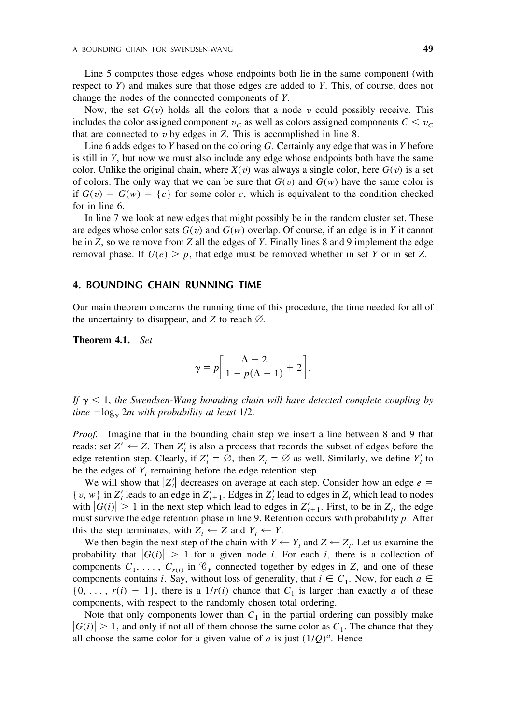Line 5 computes those edges whose endpoints both lie in the same component (with respect to *Y*) and makes sure that those edges are added to *Y*. This, of course, does not change the nodes of the connected components of *Y*.

Now, the set  $G(v)$  holds all the colors that a node v could possibly receive. This includes the color assigned component  $v_C$  as well as colors assigned components  $C < v_C$ that are connected to  $v$  by edges in  $Z$ . This is accomplished in line 8.

Line 6 adds edges to *Y* based on the coloring *G*. Certainly any edge that was in *Y* before is still in *Y*, but now we must also include any edge whose endpoints both have the same color. Unlike the original chain, where  $X(v)$  was always a single color, here  $G(v)$  is a set of colors. The only way that we can be sure that  $G(v)$  and  $G(w)$  have the same color is if  $G(v) = G(w) = \{c\}$  for some color *c*, which is equivalent to the condition checked for in line 6.

In line 7 we look at new edges that might possibly be in the random cluster set. These are edges whose color sets  $G(v)$  and  $G(w)$  overlap. Of course, if an edge is in *Y* it cannot be in *Z*, so we remove from *Z* all the edges of *Y*. Finally lines 8 and 9 implement the edge removal phase. If  $U(e) > p$ , that edge must be removed whether in set *Y* or in set *Z*.

#### **4. BOUNDING CHAIN RUNNING TIME**

Our main theorem concerns the running time of this procedure, the time needed for all of the uncertainty to disappear, and *Z* to reach  $\emptyset$ .

**Theorem 4.1.** *Set*

$$
\gamma = p \bigg[ \frac{\Delta - 2}{1 - p(\Delta - 1)} + 2 \bigg].
$$

If  $\gamma$   $\lt$  1, the Swendsen-Wang bounding chain will have detected complete coupling by *time*  $-\log_{\gamma} 2m$  *with probability at least* 1/2.

*Proof.* Imagine that in the bounding chain step we insert a line between 8 and 9 that reads: set  $Z' \leftarrow Z$ . Then  $Z'_t$  is also a process that records the subset of edges before the edge retention step. Clearly, if  $Z'_t = \emptyset$ , then  $Z_t = \emptyset$  as well. Similarly, we define  $Y'_t$  to be the edges of  $Y_t$  remaining before the edge retention step.

We will show that  $|Z'_t|$  decreases on average at each step. Consider how an edge  $e =$ { $v, w$ } in  $Z'_t$  leads to an edge in  $Z'_{t+1}$ . Edges in  $Z'_t$  lead to edges in  $Z_t$  which lead to nodes with  $|G(i)| > 1$  in the next step which lead to edges in  $Z'_{t+1}$ . First, to be in  $Z_t$ , the edge must survive the edge retention phase in line 9. Retention occurs with probability *p*. After this the step terminates, with  $Z_t \leftarrow Z$  and  $Y_t \leftarrow Y$ .

We then begin the next step of the chain with  $Y \leftarrow Y_t$  and  $Z \leftarrow Z_t$ . Let us examine the probability that  $|G(i)| > 1$  for a given node *i*. For each *i*, there is a collection of components  $C_1, \ldots, C_{r(i)}$  in  $\mathcal{C}_Y$  connected together by edges in *Z*, and one of these components contains *i*. Say, without loss of generality, that  $i \in C_1$ . Now, for each  $a \in$  $\{0, \ldots, r(i) - 1\}$ , there is a  $1/r(i)$  chance that  $C_1$  is larger than exactly *a* of these components, with respect to the randomly chosen total ordering.

Note that only components lower than  $C_1$  in the partial ordering can possibly make  $|G(i)| > 1$ , and only if not all of them choose the same color as  $C_1$ . The chance that they all choose the same color for a given value of *a* is just  $(1/Q)^a$ . Hence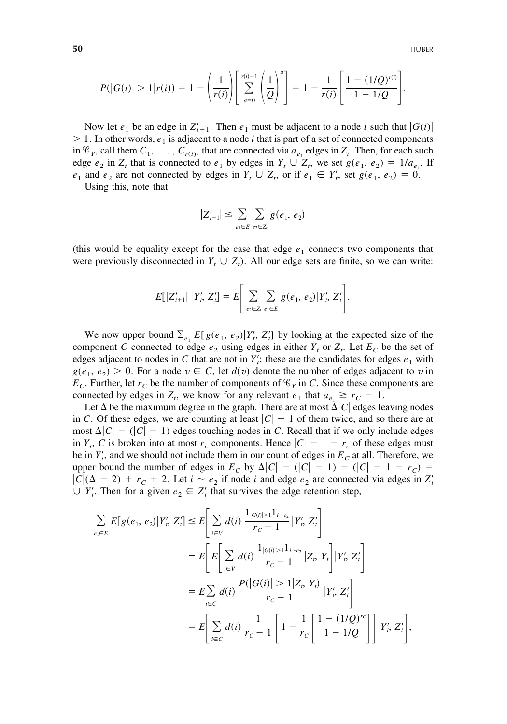$$
P(|G(i)| > 1 | r(i)) = 1 - \left(\frac{1}{r(i)}\right) \left[\sum_{a=0}^{r(i)-1} \left(\frac{1}{Q}\right)^a\right] = 1 - \frac{1}{r(i)} \left[\frac{1 - (1/Q)^{r(i)}}{1 - 1/Q}\right].
$$

Now let  $e_1$  be an edge in  $Z'_{t+1}$ . Then  $e_1$  must be adjacent to a node *i* such that  $|G(i)|$  $1.$  In other words,  $e_1$  is adjacent to a node *i* that is part of a set of connected components in  $\mathcal{C}_Y$ , call them  $C_1, \ldots, C_{r(i)}$ , that are connected via  $a_{e_1}$  edges in  $Z_t$ . Then, for each such edge  $e_2$  in  $Z_t$  that is connected to  $e_1$  by edges in  $Y_t \cup Z_t$ , we set  $g(e_1, e_2) = 1/a_{e_1}$ . If *e*<sub>1</sub> and *e*<sub>2</sub> are not connected by edges in  $Y_t \cup Z_t$ , or if  $e_1 \in Y'_t$ , set  $g(e_1, e_2) = 0$ .

Using this, note that

$$
|Z'_{t+1}| \leq \sum_{e_1 \in E} \sum_{e_2 \in Z_t} g(e_1, e_2)
$$

(this would be equality except for the case that edge  $e_1$  connects two components that were previously disconnected in  $Y_t \cup Z_t$ ). All our edge sets are finite, so we can write:

$$
E[|Z'_{t+1}| | Y'_t, Z'_t] = E\Bigg[\sum_{e_2 \in Z_t} \sum_{e_1 \in E} g(e_1, e_2) | Y'_t, Z'_t\Bigg].
$$

We now upper bound  $\sum_{e_1} E[g(e_1, e_2)|Y'_i, Z'_i]$  by looking at the expected size of the component *C* connected to edge  $e_2$  using edges in either  $Y_t$  or  $Z_t$ . Let  $E_C$  be the set of edges adjacent to nodes in *C* that are not in  $Y_t$ ; these are the candidates for edges  $e_1$  with  $g(e_1, e_2) > 0$ . For a node  $v \in C$ , let  $d(v)$  denote the number of edges adjacent to *v* in  $E_C$ . Further, let  $r_C$  be the number of components of  $\mathcal{C}_Y$  in *C*. Since these components are connected by edges in  $Z_t$ , we know for any relevant  $e_1$  that  $a_{e_1} \ge r_C - 1$ .

Let  $\Delta$  be the maximum degree in the graph. There are at most  $\Delta |C|$  edges leaving nodes in *C*. Of these edges, we are counting at least  $|C| - 1$  of them twice, and so there are at most  $\Delta |C| - (|C| - 1)$  edges touching nodes in *C*. Recall that if we only include edges in *Y<sub>t</sub>*, *C* is broken into at most  $r_c$  components. Hence  $|C| - 1 - r_c$  of these edges must be in  $Y_t'$ , and we should not include them in our count of edges in  $E_C$  at all. Therefore, we upper bound the number of edges in  $E_C$  by  $\Delta |C| - (|C| - 1) - (|C| - 1 - r_C) =$  $|C|$ ( $\Delta - 2$ ) +  $r_C + 2$ . Let  $i \sim e_2$  if node *i* and edge  $e_2$  are connected via edges in  $Z_t$  $\cup$  *Y*<sub>*t*</sub>. Then for a given  $e_2 \in Z_t$  that survives the edge retention step,

$$
\sum_{e_i \in E} E[g(e_1, e_2) | Y'_i, Z'_i] \le E \Bigg[ \sum_{i \in V} d(i) \frac{1_{|G(i)| > 1} 1_{i \sim e_2}}{r_C - 1} | Y'_i, Z'_i \Bigg]
$$
  
\n
$$
= E \Bigg[ E \Bigg[ \sum_{i \in V} d(i) \frac{1_{|G(i)| > 1} 1_{i \sim e_2}}{r_C - 1} | Z_i, Y_i \Bigg] | Y'_i, Z'_i \Bigg]
$$
  
\n
$$
= E \sum_{i \in C} d(i) \frac{P(|G(i)| > 1 | Z_i, Y_i)}{r_C - 1} | Y'_i, Z'_i \Bigg]
$$
  
\n
$$
= E \Bigg[ \sum_{i \in C} d(i) \frac{1}{r_C - 1} \Bigg[ 1 - \frac{1}{r_C} \Bigg[ \frac{1 - (1/Q)^{r_C}}{1 - 1/Q} \Bigg] \Bigg] | Y'_i, Z'_i \Bigg],
$$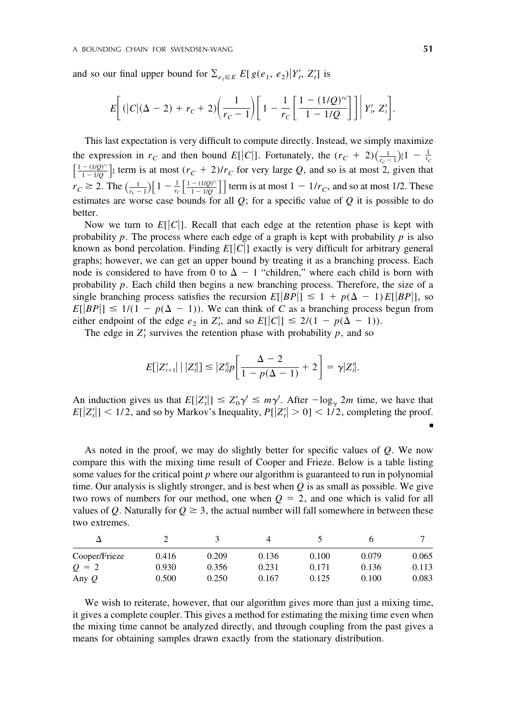and so our final upper bound for  $\sum_{e_1 \in E} E[g(e_1, e_2) | Y'_i, Z'_i]$  is

$$
E\bigg[ (|C|(\Delta - 2) + r_C + 2) \bigg( \frac{1}{r_C - 1} \bigg) \bigg[ 1 - \frac{1}{r_C} \bigg[ \frac{1 - (1/Q)^{r_C}}{1 - 1/Q} \bigg] \bigg] \bigg| Y'_r, Z'_t \bigg].
$$

This last expectation is very difficult to compute directly. Instead, we simply maximize the expression in  $r_C$  and then bound  $E[|C|]$ . Fortunately, the  $(r_C + 2)\left(\frac{1}{r_C - 1}\right)[1 - \frac{1}{r_C}]$  $\left[\frac{1-(1/Q)^{rc}}{1-1/Q}\right]$  term is at most  $(r_C + 2)/r_C$  for very large *Q*, and so is at most 2, given that  $r_C \ge 2$ . The  $\left(\frac{1}{r_c-1}\right) \left[1 - \frac{1}{r_c} \left[\frac{1-(1/Q)^{rc}}{1-1/Q}\right]\right]$  term is at most  $1 - 1/r_C$ , and so at most 1/2. These estimates are worse case bounds for all  $Q$ ; for a specific value of  $Q$  it is possible to do better.

Now we turn to  $E[|C|]$ . Recall that each edge at the retention phase is kept with probability  $p$ . The process where each edge of a graph is kept with probability  $p$  is also known as bond percolation. Finding  $E[|C|]$  exactly is very difficult for arbitrary general graphs; however, we can get an upper bound by treating it as a branching process. Each node is considered to have from 0 to  $\Delta - 1$  "children," where each child is born with probability *p*. Each child then begins a new branching process. Therefore, the size of a single branching process satisfies the recursion  $E[|BP|] \leq 1 + p(\Delta - 1)E[|BP|]$ , so  $E[|BP|] \leq 1/(1 - p(\Delta - 1))$ . We can think of *C* as a branching process begun from either endpoint of the edge  $e_2$  in  $Z'_t$ , and so  $E[|C|] \leq \frac{2}{(1 - p(\Delta - 1))}$ .

The edge in  $Z_t$  survives the retention phase with probability  $p$ , and so

$$
E[|Z'_{t+1}| \mid |Z'_t|] \leq |Z'_t| \left[ \frac{\Delta - 2}{1 - p(\Delta - 1)} + 2 \right] = \gamma |Z'_t|.
$$

An induction gives us that  $E[|Z_t|'] \leq Z_0' \gamma' \leq m \gamma'$ . After  $-\log_{\gamma} 2m$  time, we have that  $E[|Z_t|] < 1/2$ , and so by Markov's Inequality,  $P[|Z_t| > 0] < 1/2$ , completing the proof.

As noted in the proof, we may do slightly better for specific values of *Q*. We now compare this with the mixing time result of Cooper and Frieze. Below is a table listing some values for the critical point *p* where our algorithm is guaranteed to run in polynomial time. Our analysis is slightly stronger, and is best when *Q* is as small as possible. We give two rows of numbers for our method, one when  $Q = 2$ , and one which is valid for all values of *Q*. Naturally for  $Q \geq 3$ , the actual number will fall somewhere in between these two extremes.

| Cooper/Frieze | 0.416 | 0.209 | 0.136 | 0.100 | 0.079 | 0.065 |
|---------------|-------|-------|-------|-------|-------|-------|
| $Q = 2$       | 0.930 | 0.356 | 0.231 | 0.171 | 0.136 | 0.113 |
| Any $Q$       | 0.500 | 0.250 | 0.167 | 0.125 | 0.100 | 0.083 |

We wish to reiterate, however, that our algorithm gives more than just a mixing time, it gives a complete coupler. This gives a method for estimating the mixing time even when the mixing time cannot be analyzed directly, and through coupling from the past gives a means for obtaining samples drawn exactly from the stationary distribution.

■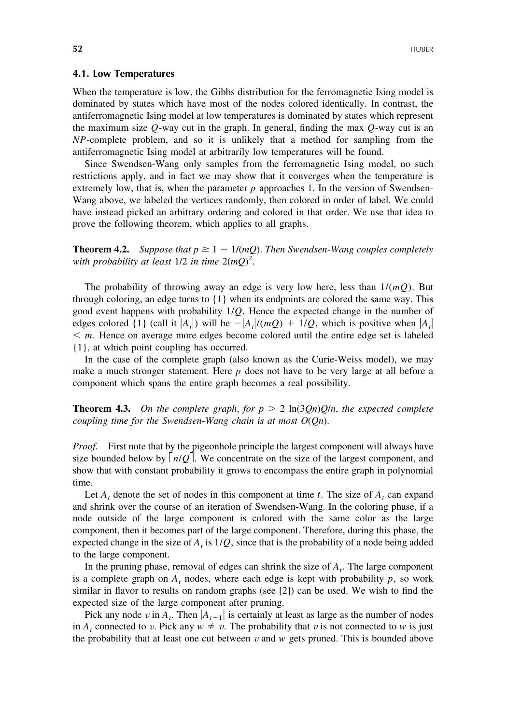#### **4.1. Low Temperatures**

When the temperature is low, the Gibbs distribution for the ferromagnetic Ising model is dominated by states which have most of the nodes colored identically. In contrast, the antiferromagnetic Ising model at low temperatures is dominated by states which represent the maximum size *Q*-way cut in the graph. In general, finding the max *Q*-way cut is an *NP*-complete problem, and so it is unlikely that a method for sampling from the antiferromagnetic Ising model at arbitrarily low temperatures will be found.

Since Swendsen-Wang only samples from the ferromagnetic Ising model, no such restrictions apply, and in fact we may show that it converges when the temperature is extremely low, that is, when the parameter  $p$  approaches 1. In the version of Swendsen-Wang above, we labeled the vertices randomly, then colored in order of label. We could have instead picked an arbitrary ordering and colored in that order. We use that idea to prove the following theorem, which applies to all graphs.

**Theorem 4.2.** *Suppose that*  $p \geq 1 - 1/(mQ)$ . *Then Swendsen-Wang couples completely with probability at least* 1/2 *in time* 2(*mQ*) 2 .

The probability of throwing away an edge is very low here, less than 1/(*mQ*). But through coloring, an edge turns to  $\{1\}$  when its endpoints are colored the same way. This good event happens with probability 1/*Q*. Hence the expected change in the number of edges colored  $\{1\}$  (call it  $|A_t|$ ) will be  $-|A_t|/(mQ) + 1/Q$ , which is positive when  $|A_t|$  $\leq m$ . Hence on average more edges become colored until the entire edge set is labeled {1}, at which point coupling has occurred.

In the case of the complete graph (also known as the Curie-Weiss model), we may make a much stronger statement. Here *p* does not have to be very large at all before a component which spans the entire graph becomes a real possibility.

**Theorem 4.3.** On the complete graph, for  $p > 2 \ln(3Qn)Q/n$ , the expected complete *coupling time for the Swendsen*-*Wang chain is at most O*(*Qn*).

*Proof.* First note that by the pigeonhole principle the largest component will always have size bounded below by  $n/Q$ . We concentrate on the size of the largest component, and show that with constant probability it grows to encompass the entire graph in polynomial time.

Let  $A_t$ , denote the set of nodes in this component at time  $t$ . The size of  $A_t$ , can expand and shrink over the course of an iteration of Swendsen-Wang. In the coloring phase, if a node outside of the large component is colored with the same color as the large component, then it becomes part of the large component. Therefore, during this phase, the expected change in the size of  $A<sub>i</sub>$  is  $1/Q$ , since that is the probability of a node being added to the large component.

In the pruning phase, removal of edges can shrink the size of  $A_t$ . The large component is a complete graph on  $A_t$  nodes, where each edge is kept with probability  $p$ , so work similar in flavor to results on random graphs (see [2]) can be used. We wish to find the expected size of the large component after pruning.

Pick any node  $v$  in  $A_t$ . Then  $|A_{t+1}|$  is certainly at least as large as the number of nodes in *A*, connected to *v*. Pick any  $w \neq v$ . The probability that *v* is not connected to *w* is just the probability that at least one cut between  $v$  and  $w$  gets pruned. This is bounded above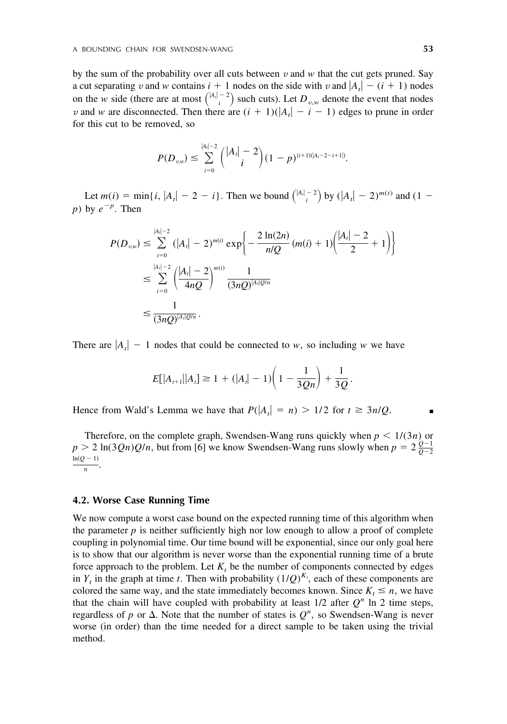by the sum of the probability over all cuts between  $v$  and  $w$  that the cut gets pruned. Say a cut separating *v* and *w* contains  $i + 1$  nodes on the side with *v* and  $|A_t| - (i + 1)$  nodes a cut separating *v* and *w* contains  $i + 1$  houes on the side with *v* and  $|A_t| = (i + 1)$  houes<br>on the *w* side (there are at most  $\binom{|A_t| - 2}{i}$  such cuts). Let  $D_{v,w}$  denote the event that nodes *v* and *w* are disconnected. Then there are  $(i + 1)(|A_t| - i - 1)$  edges to prune in order for this cut to be removed, so

$$
P(D_{v,w}) \leq \sum_{i=0}^{|A_i|-2} {|A_i|-2 \choose i} (1-p)^{(i+1)(|A_i-2-i+1|)}.
$$

Let  $m(i) = \min\{i, |A_i| - 2 - i\}$ . Then we bound  $\binom{|A_i| - 2}{i}$  by  $(|A_i| - 2)^{m(i)}$  and  $(1$ *p*) by  $e^{-p}$ . Then

$$
P(D_{u,w}) \leq \sum_{i=0}^{|A_i|-2} (|A_i| - 2)^{m(i)} \exp\left\{-\frac{2\ln(2n)}{n/Q}(m(i) + 1)\left(\frac{|A_i|-2}{2} + 1\right)\right\}
$$
  

$$
\leq \sum_{i=0}^{|A_i|-2} \left(\frac{|A_i|-2}{4nQ}\right)^{m(i)} \frac{1}{(3nQ)^{|A_i|Q/n}}
$$
  

$$
\leq \frac{1}{(3nQ)^{|A_i|Q/n}}.
$$

There are  $|A_t| - 1$  nodes that could be connected to *w*, so including *w* we have

$$
E[|A_{t+1}||A_t] \ge 1 + (|A_t| - 1)\left(1 - \frac{1}{3Qn}\right) + \frac{1}{3Q}.
$$

Hence from Wald's Lemma we have that  $P(|A_t| = n) > 1/2$  for  $t \ge 3n/Q$ .

Therefore, on the complete graph, Swendsen-Wang runs quickly when  $p \leq 1/(3n)$  or  $p > 2 \ln(3Qn)Q/n$ , but from [6] we know Swendsen-Wang runs slowly when  $p = 2 \frac{Q-1}{Q-2}$  $\frac{\ln(Q-1)}{n}$ .

#### **4.2. Worse Case Running Time**

We now compute a worst case bound on the expected running time of this algorithm when the parameter  $p$  is neither sufficiently high nor low enough to allow a proof of complete coupling in polynomial time. Our time bound will be exponential, since our only goal here is to show that our algorithm is never worse than the exponential running time of a brute force approach to the problem. Let  $K_t$  be the number of components connected by edges in  $Y_t$  in the graph at time *t*. Then with probability  $(1/Q)^{K_t}$ , each of these components are colored the same way, and the state immediately becomes known. Since  $K_t \le n$ , we have that the chain will have coupled with probability at least  $1/2$  after  $Q<sup>n</sup>$  ln 2 time steps, regardless of p or  $\Delta$ . Note that the number of states is  $Q<sup>n</sup>$ , so Swendsen-Wang is never worse (in order) than the time needed for a direct sample to be taken using the trivial method.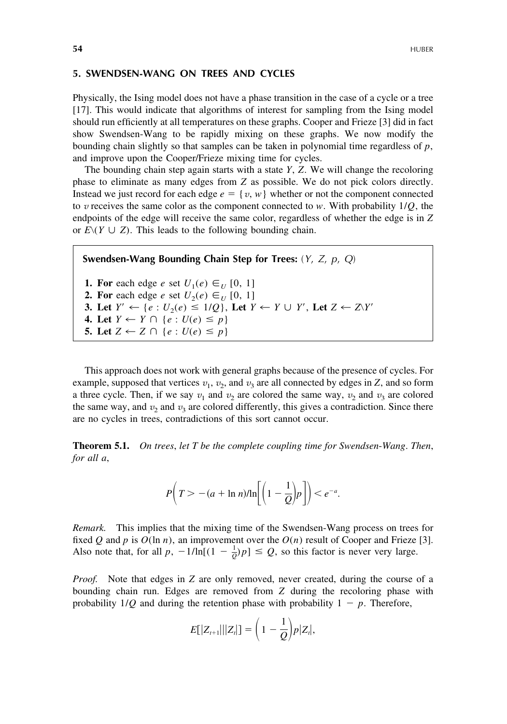## **5. SWENDSEN-WANG ON TREES AND CYCLES**

Physically, the Ising model does not have a phase transition in the case of a cycle or a tree [17]. This would indicate that algorithms of interest for sampling from the Ising model should run efficiently at all temperatures on these graphs. Cooper and Frieze [3] did in fact show Swendsen-Wang to be rapidly mixing on these graphs. We now modify the bounding chain slightly so that samples can be taken in polynomial time regardless of *p*, and improve upon the Cooper/Frieze mixing time for cycles.

The bounding chain step again starts with a state *Y*, *Z*. We will change the recoloring phase to eliminate as many edges from *Z* as possible. We do not pick colors directly. Instead we just record for each edge  $e = \{v, w\}$  whether or not the component connected to *v* receives the same color as the component connected to *w*. With probability  $1/Q$ , the endpoints of the edge will receive the same color, regardless of whether the edge is in *Z* or  $E(Y \cup Z)$ . This leads to the following bounding chain.

**Swendsen-Wang Bounding Chain Step for Trees:** (*Y*, *Z*, *p*, *Q*)

**1. For** each edge *e* set  $U_1(e) \in U$  [0, 1] **2. For** each edge *e* set  $U_2(e) \in U_1[0, 1]$ **3.** Let  $Y' \leftarrow \{e : U_2(e) \leq 1/Q\}$ , Let  $Y \leftarrow Y \cup Y'$ , Let  $Z \leftarrow Z\{Y'\}$ **4.** Let  $Y \leftarrow Y \cap \{e : U(e) \leq p\}$ **5.** Let  $Z \leftarrow Z \cap \{e : U(e) \leq p\}$ 

This approach does not work with general graphs because of the presence of cycles. For example, supposed that vertices  $v_1$ ,  $v_2$ , and  $v_3$  are all connected by edges in *Z*, and so form a three cycle. Then, if we say  $v_1$  and  $v_2$  are colored the same way,  $v_2$  and  $v_3$  are colored the same way, and  $v_2$  and  $v_3$  are colored differently, this gives a contradiction. Since there are no cycles in trees, contradictions of this sort cannot occur.

**Theorem 5.1.** *On trees*, *let T be the complete coupling time for Swendsen*-*Wang*. *Then*, *for all a*,

$$
P\left(T>-(a+\ln n)/\ln\left[\left(1-\frac{1}{Q}\right)p\right]\right)<\varrho^{-a}.
$$

*Remark.* This implies that the mixing time of the Swendsen-Wang process on trees for fixed *Q* and *p* is  $O(\ln n)$ , an improvement over the  $O(n)$  result of Cooper and Frieze [3]. Also note that, for all  $p$ ,  $-1/\ln[(1 - \frac{1}{Q})p] \le Q$ , so this factor is never very large.

*Proof.* Note that edges in *Z* are only removed, never created, during the course of a bounding chain run. Edges are removed from *Z* during the recoloring phase with probability  $1/Q$  and during the retention phase with probability  $1 - p$ . Therefore,

$$
E[|Z_{t+1}|||Z_t|] = \left(1 - \frac{1}{Q}\right) p|Z_t|,
$$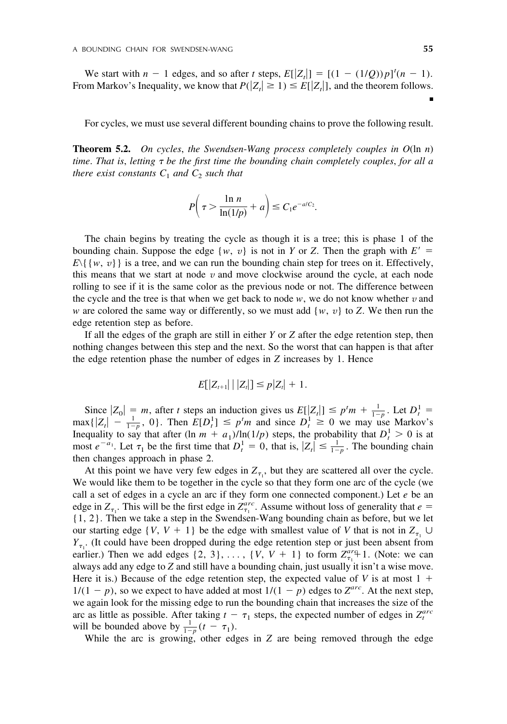We start with  $n - 1$  edges, and so after *t* steps,  $E[|Z_t|] = [(1 - (1/Q))p]^t(n - 1)$ . From Markov's Inequality, we know that  $P(|Z_t| \geq 1) \leq E[|Z_t|]$ , and the theorem follows.

For cycles, we must use several different bounding chains to prove the following result.

**Theorem 5.2.** *On cycles*, *the Swendsen*-*Wang process completely couples in O*(ln *n*) *time*. *That is*, *letting be the first time the bounding chain completely couples*, *for all a there exist constants*  $C_1$  *and*  $C_2$  *such that* 

$$
P\left(\tau > \frac{\ln n}{\ln(1/p)} + a\right) \le C_1 e^{-a/C_2}.
$$

The chain begins by treating the cycle as though it is a tree; this is phase 1 of the bounding chain. Suppose the edge  $\{w, v\}$  is not in *Y* or *Z*. Then the graph with  $E' =$  $E\{w, v\}$  is a tree, and we can run the bounding chain step for trees on it. Effectively, this means that we start at node  $v$  and move clockwise around the cycle, at each node rolling to see if it is the same color as the previous node or not. The difference between the cycle and the tree is that when we get back to node  $w$ , we do not know whether  $v$  and *w* are colored the same way or differently, so we must add  $\{w, v\}$  to *Z*. We then run the edge retention step as before.

If all the edges of the graph are still in either *Y* or *Z* after the edge retention step, then nothing changes between this step and the next. So the worst that can happen is that after the edge retention phase the number of edges in *Z* increases by 1. Hence

$$
E[|Z_{t+1}| \mid |Z_t|] \leq p|Z_t| + 1.
$$

Since  $|Z_0| = m$ , after *t* steps an induction gives us  $E[|Z_t|] \le p^t m + \frac{1}{1-p}$ . Let  $D_t^1 =$  $\max\{|Z_t| - \frac{1}{1-p}, 0\}$ . Then  $E[D_t^1] \leq p^t m$  and since  $D_t^1 \geq 0$  we may use Markov's Inequality to say that after  $(\ln m + a_1)/\ln(1/p)$  steps, the probability that  $D_t^1 > 0$  is at most  $e^{-a_1}$ . Let  $\tau_1$  be the first time that  $D_t^1 = 0$ , that is,  $|Z_t| \leq \frac{1}{1-p}$ . The bounding chain then changes approach in phase 2.

At this point we have very few edges in  $Z_{\tau_1}$ , but they are scattered all over the cycle. We would like them to be together in the cycle so that they form one arc of the cycle (we call a set of edges in a cycle an arc if they form one connected component.) Let *e* be an edge in  $Z_{\tau_1}$ . This will be the first edge in  $Z_{\tau_1}^{arc}$ . Assume without loss of generality that  $e =$ {1, 2}. Then we take a step in the Swendsen-Wang bounding chain as before, but we let our starting edge  $\{V, V + 1\}$  be the edge with smallest value of *V* that is not in  $Z_{\tau_1} \cup$  $Y_{\tau_1}$ . (It could have been dropped during the edge retention step or just been absent from earlier.) Then we add edges  $\{2, 3\}, \ldots, \{V, V + 1\}$  to form  $Z_{\tau_1}^{arg}$  1. (Note: we can always add any edge to *Z* and still have a bounding chain, just usually it isn't a wise move. Here it is.) Because of the edge retention step, the expected value of  $V$  is at most  $1 +$  $1/(1 - p)$ , so we expect to have added at most  $1/(1 - p)$  edges to  $Z^{arc}$ . At the next step, we again look for the missing edge to run the bounding chain that increases the size of the arc as little as possible. After taking  $t - \tau_1$  steps, the expected number of edges in  $Z_t^{arc}$ will be bounded above by  $\frac{1}{1-p}(t-\tau_1)$ .

While the arc is growing, other edges in *Z* are being removed through the edge

■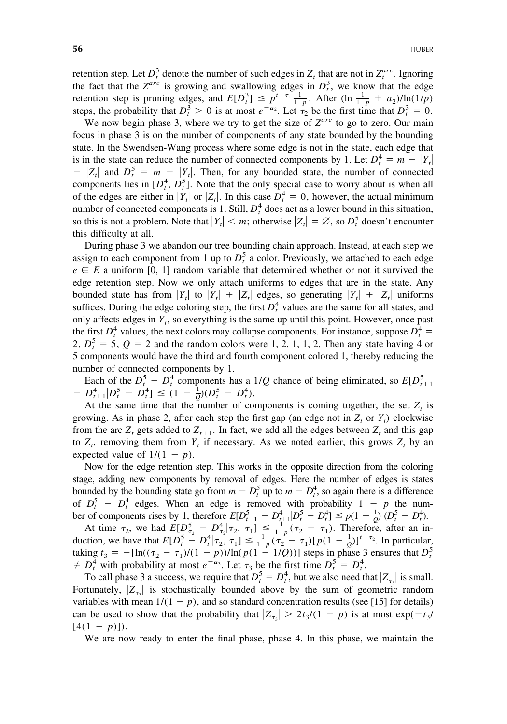retention step. Let  $D_t^3$  denote the number of such edges in  $Z_t$  that are not in  $Z_t^{arc}$ . Ignoring the fact that the  $Z^{arc}$  is growing and swallowing edges in  $D_t^3$ , we know that the edge retention step is pruning edges, and  $E[D_i^3] \le p^{t-\tau_1} \frac{1}{1-p}$ . After  $(\ln \frac{1}{1-p} + a_2)/\ln(1/p)$ steps, the probability that  $D_t^3 > 0$  is at most  $e^{-a_2}$ . Let  $\tau_2$  be the first time that  $D_t^3 = 0$ .

We now begin phase 3, where we try to get the size of *Zarc* to go to zero. Our main focus in phase 3 is on the number of components of any state bounded by the bounding state. In the Swendsen-Wang process where some edge is not in the state, each edge that is in the state can reduce the number of connected components by 1. Let  $D_t^4 = m - |Y_t|$  $Z_t$  and  $D_t^5 = m - |Y_t|$ . Then, for any bounded state, the number of connected components lies in  $[D_t^4, D_t^5]$ . Note that the only special case to worry about is when all of the edges are either in  $|Y_t|$  or  $|Z_t|$ . In this case  $D_t^4 = 0$ , however, the actual minimum number of connected components is 1. Still,  $D_t^4$  does act as a lower bound in this situation, so this is not a problem. Note that  $|Y_t| < m$ ; otherwise  $|Z_t| = \emptyset$ , so  $D_t^5$  doesn't encounter this difficulty at all.

During phase 3 we abandon our tree bounding chain approach. Instead, at each step we assign to each component from 1 up to  $D_t^5$  a color. Previously, we attached to each edge  $e \in E$  a uniform [0, 1] random variable that determined whether or not it survived the edge retention step. Now we only attach uniforms to edges that are in the state. Any bounded state has from  $|Y_t|$  to  $|Y_t| + |Z_t|$  edges, so generating  $|Y_t| + |Z_t|$  uniforms suffices. During the edge coloring step, the first  $D_t^4$  values are the same for all states, and only affects edges in  $Y_t$ , so everything is the same up until this point. However, once past the first  $D_t^4$  values, the next colors may collapse components. For instance, suppose  $D_t^4$  = 2,  $D_t^5 = 5$ ,  $Q = 2$  and the random colors were 1, 2, 1, 1, 2. Then any state having 4 or 5 components would have the third and fourth component colored 1, thereby reducing the number of connected components by 1.

Each of the  $D_t^5 - D_t^4$  components has a 1/*Q* chance of being eliminated, so  $E[D_{t+1}^5]$  $-D_{t+1}^4 | D_t^5 - D_t^4] \le (1 - \frac{1}{Q} (D_t^5 - D_t^4).$ 

At the same time that the number of components is coming together, the set  $Z<sub>t</sub>$  is growing. As in phase 2, after each step the first gap (an edge not in  $Z_t$  or  $Y_t$ ) clockwise from the arc  $Z_t$  gets added to  $Z_{t+1}$ . In fact, we add all the edges between  $Z_t$  and this gap to  $Z_t$ , removing them from  $Y_t$  if necessary. As we noted earlier, this grows  $Z_t$  by an expected value of  $1/(1 - p)$ .

Now for the edge retention step. This works in the opposite direction from the coloring stage, adding new components by removal of edges. Here the number of edges is states bounded by the bounding state go from  $m - D_t^5$  up to  $m - D_t^4$ , so again there is a difference of  $D_t^5 - D_t^4$  edges. When an edge is removed with probability  $1 - p$  the number of components rises by 1, therefore  $E[D_{t+1}^5 - D_{t+1}^4 | D_t^5 - D_t^4] \le p(1 - \frac{1}{Q}) (D_t^5 - D_t^4)$ .

At time  $\tau_2$ , we had  $E[D_{\tau_2}^5 - D_{\tau_2}^4 | \tau_2, \tau_1] \leq \frac{1}{1-p} (\tau_2 - \tau_1)$ . Therefore, after an induction, we have that  $E[D_t^5 - D_t^4 | \tau_2, \tau_1] \leq \frac{1}{1-p} (\tau_2 - \tau_1) [p(1 - \frac{1}{Q})]^{t-\tau_2}$ . In particular, taking  $t_3 = -[\ln((\tau_2 - \tau_1)/(1 - p)) / \ln(p(1 - 1/Q))]$  steps in phase 3 ensures that  $D_t^5$  $\neq D_t^4$  with probability at most  $e^{-a_3}$ . Let  $\tau_3$  be the first time  $D_t^5 = D_t^4$ .

To call phase 3 a success, we require that  $D_t^5 = D_t^4$ , but we also need that  $|Z_{\tau_3}|$  is small. Fortunately,  $|Z_{\tau_3}|$  is stochastically bounded above by the sum of geometric random variables with mean  $1/(1 - p)$ , and so standard concentration results (see [15] for details) can be used to show that the probability that  $|Z_{\tau_3}| > 2t_3/(1 - p)$  is at most  $\exp(-t_3/p)$  $[4(1 - p)]$ .

We are now ready to enter the final phase, phase 4. In this phase, we maintain the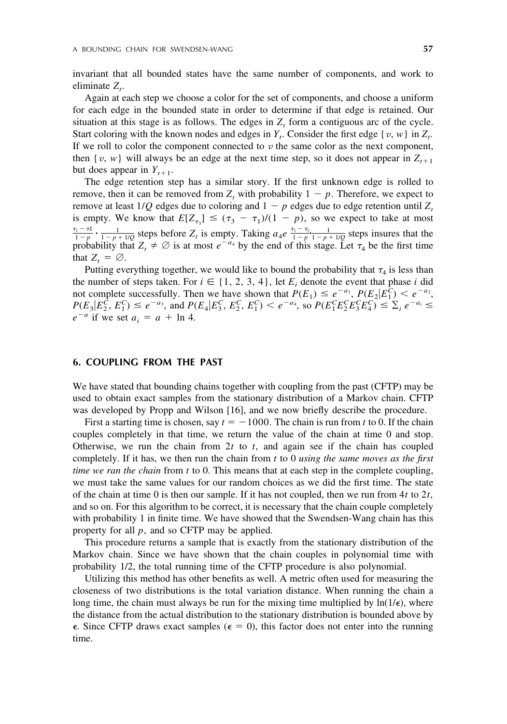invariant that all bounded states have the same number of components, and work to  $eliminate Z_t$ .

Again at each step we choose a color for the set of components, and choose a uniform for each edge in the bounded state in order to determine if that edge is retained. Our situation at this stage is as follows. The edges in  $Z_t$  form a contiguous arc of the cycle. Start coloring with the known nodes and edges in  $Y_t$ . Consider the first edge  $\{v, w\}$  in  $Z_t$ . If we roll to color the component connected to  $\nu$  the same color as the next component, then {*v*, *w*} will always be an edge at the next time step, so it does not appear in  $Z_{t+1}$ but does appear in  $Y_{t+1}$ .

The edge retention step has a similar story. If the first unknown edge is rolled to remove, then it can be removed from  $Z_t$  with probability  $1 - p$ . Therefore, we expect to remove at least  $1/Q$  edges due to coloring and  $1 - p$  edges due to edge retention until  $Z_t$ is empty. We know that  $E[Z_{\tau_3}] \leq (\tau_3 - \tau_1)/(1 - p)$ , so we expect to take at most  $\frac{\tau_3 - \tau_1}{1 - p}$  ·  $\frac{1}{1 - p + 1/Q}$  steps before  $Z_t$  is empty. Taking  $a_4 e^{-\frac{\tau_3 - \tau_2}{1 - p} \cdot \frac{1}{1 - p + 1/Q}}$  steps insures that the probability that  $Z_t \neq \emptyset$  is at most  $e^{-a_4}$  by the end of this stage. Let  $\tau_4$  be the first time that  $Z_t = \emptyset$ .

Putting everything together, we would like to bound the probability that  $\tau_4$  is less than the number of steps taken. For  $i \in \{1, 2, 3, 4\}$ , let  $E_i$  denote the event that phase *i* did not complete successfully. Then we have shown that  $P(E_1) \leq e^{-a_1}$ ,  $P(E_2|E_1^{\hat{C}}) \leq e^{-a_2}$ ,  $P(E_3|E_2^{\hat{C}}, E_1^C) \leq e^{-a_3}$ , and  $P(E_4|E_3^C, E_2^C, E_1^C) < e^{-a_4}$ , so  $P(E_1^C E_2^C E_3^C E_4^C) \leq \sum_i e^{-a_i} \leq$  $e^{-a}$  if we set  $a_i = a + \ln 4$ .

## **6. COUPLING FROM THE PAST**

We have stated that bounding chains together with coupling from the past (CFTP) may be used to obtain exact samples from the stationary distribution of a Markov chain. CFTP was developed by Propp and Wilson [16], and we now briefly describe the procedure.

First a starting time is chosen, say  $t = -1000$ . The chain is run from t to 0. If the chain couples completely in that time, we return the value of the chain at time 0 and stop. Otherwise, we run the chain from  $2t$  to  $t$ , and again see if the chain has coupled completely. If it has, we then run the chain from *t* to 0 *using the same moves as the first time we ran the chain* from *t* to 0. This means that at each step in the complete coupling, we must take the same values for our random choices as we did the first time. The state of the chain at time 0 is then our sample. If it has not coupled, then we run from 4*t* to 2*t*, and so on. For this algorithm to be correct, it is necessary that the chain couple completely with probability 1 in finite time. We have showed that the Swendsen-Wang chain has this property for all *p*, and so CFTP may be applied.

This procedure returns a sample that is exactly from the stationary distribution of the Markov chain. Since we have shown that the chain couples in polynomial time with probability 1/2, the total running time of the CFTP procedure is also polynomial.

Utilizing this method has other benefits as well. A metric often used for measuring the closeness of two distributions is the total variation distance. When running the chain a long time, the chain must always be run for the mixing time multiplied by  $\ln(1/\epsilon)$ , where the distance from the actual distribution to the stationary distribution is bounded above by  $\epsilon$ . Since CFTP draws exact samples ( $\epsilon = 0$ ), this factor does not enter into the running time.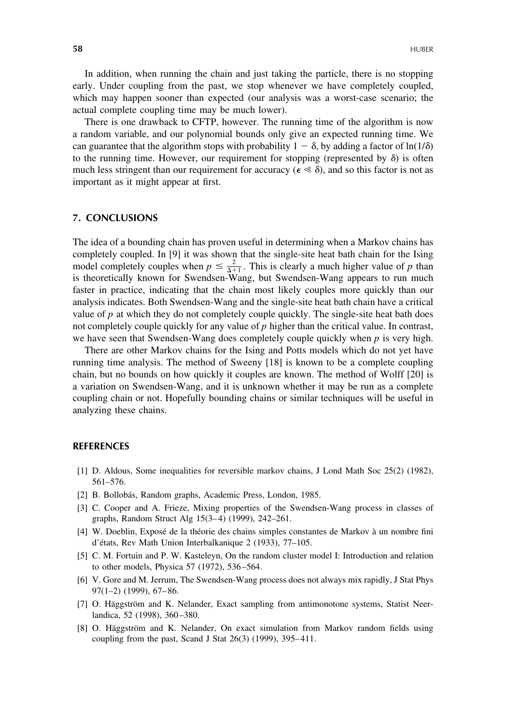In addition, when running the chain and just taking the particle, there is no stopping early. Under coupling from the past, we stop whenever we have completely coupled, which may happen sooner than expected (our analysis was a worst-case scenario; the actual complete coupling time may be much lower).

There is one drawback to CFTP, however. The running time of the algorithm is now a random variable, and our polynomial bounds only give an expected running time. We can guarantee that the algorithm stops with probability  $1 - \delta$ , by adding a factor of  $\ln(1/\delta)$ to the running time. However, our requirement for stopping (represented by  $\delta$ ) is often much less stringent than our requirement for accuracy ( $\epsilon \ll \delta$ ), and so this factor is not as important as it might appear at first.

## **7. CONCLUSIONS**

The idea of a bounding chain has proven useful in determining when a Markov chains has completely coupled. In [9] it was shown that the single-site heat bath chain for the Ising model completely couples when  $p \leq \frac{2}{\Delta+1}$ . This is clearly a much higher value of *p* than is theoretically known for Swendsen-Wang, but Swendsen-Wang appears to run much faster in practice, indicating that the chain most likely couples more quickly than our analysis indicates. Both Swendsen-Wang and the single-site heat bath chain have a critical value of *p* at which they do not completely couple quickly. The single-site heat bath does not completely couple quickly for any value of *p* higher than the critical value. In contrast, we have seen that Swendsen-Wang does completely couple quickly when *p* is very high.

There are other Markov chains for the Ising and Potts models which do not yet have running time analysis. The method of Sweeny [18] is known to be a complete coupling chain, but no bounds on how quickly it couples are known. The method of Wolff [20] is a variation on Swendsen-Wang, and it is unknown whether it may be run as a complete coupling chain or not. Hopefully bounding chains or similar techniques will be useful in analyzing these chains.

#### **REFERENCES**

- [1] D. Aldous, Some inequalities for reversible markov chains, J Lond Math Soc 25(2) (1982), 561–576.
- [2] B. Bollobás, Random graphs, Academic Press, London, 1985.
- [3] C. Cooper and A. Frieze, Mixing properties of the Swendsen-Wang process in classes of graphs, Random Struct Alg 15(3–4) (1999), 242–261.
- [4] W. Doeblin, Exposé de la théorie des chains simples constantes de Markov à un nombre fini d'e´tats, Rev Math Union Interbalkanique 2 (1933), 77–105.
- [5] C. M. Fortuin and P. W. Kasteleyn, On the random cluster model I: Introduction and relation to other models, Physica 57 (1972), 536–564.
- [6] V. Gore and M. Jerrum, The Swendsen-Wang process does not always mix rapidly, J Stat Phys 97(1–2) (1999), 67–86.
- [7] O. Häggström and K. Nelander, Exact sampling from antimonotone systems, Statist Neerlandica, 52 (1998), 360–380.
- [8] O. Häggström and K. Nelander, On exact simulation from Markov random fields using coupling from the past, Scand J Stat 26(3) (1999), 395–411.